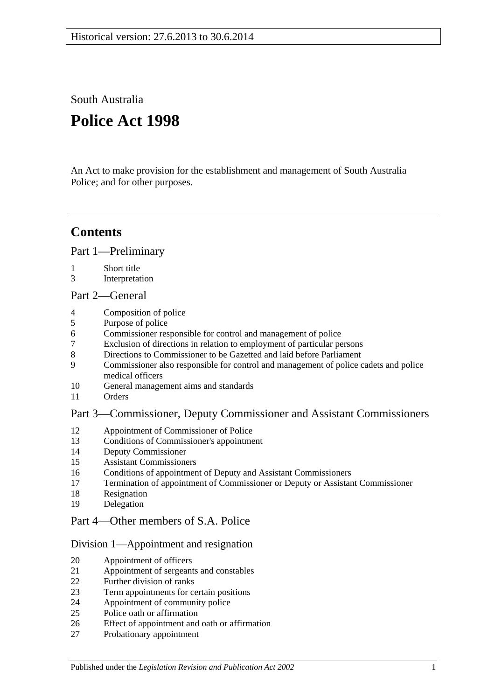South Australia

# **Police Act 1998**

An Act to make provision for the establishment and management of South Australia Police; and for other purposes.

# **Contents**

[Part 1—Preliminary](#page-2-0)

- [Short title](#page-2-1)
- [Interpretation](#page-2-2)

#### [Part 2—General](#page-3-0)

- [Composition of police](#page-3-1)
- [Purpose of police](#page-4-0)
- [Commissioner responsible for control and management of police](#page-4-1)
- [Exclusion of directions in relation to employment of particular persons](#page-4-2)
- [Directions to Commissioner to be Gazetted and laid before Parliament](#page-4-3)
- [Commissioner also responsible for control and management of police cadets and police](#page-4-4)  [medical officers](#page-4-4)
- [General management aims and standards](#page-4-5)
- [Orders](#page-5-0)

# [Part 3—Commissioner, Deputy Commissioner and Assistant Commissioners](#page-5-1)

- [Appointment of Commissioner of Police](#page-5-2)<br>13 Conditions of Commissioner's appointme
- [Conditions of Commissioner's appointment](#page-6-0)
- [Deputy Commissioner](#page-6-1)
- [Assistant Commissioners](#page-6-2)
- [Conditions of appointment of Deputy and Assistant Commissioners](#page-7-0)
- [Termination of appointment of Commissioner or Deputy or Assistant Commissioner](#page-7-1)
- [Resignation](#page-8-0)
- [Delegation](#page-8-1)

# [Part 4—Other members of S.A. Police](#page-9-0)

#### [Division 1—Appointment and resignation](#page-9-1)

- [Appointment of officers](#page-9-2)
- [Appointment of sergeants and constables](#page-9-3)
- [Further division of ranks](#page-9-4)
- [Term appointments for certain positions](#page-9-5)
- [Appointment of community police](#page-9-6)
- [Police oath or affirmation](#page-10-0)
- [Effect of appointment and oath or affirmation](#page-10-1)
- [Probationary appointment](#page-10-2)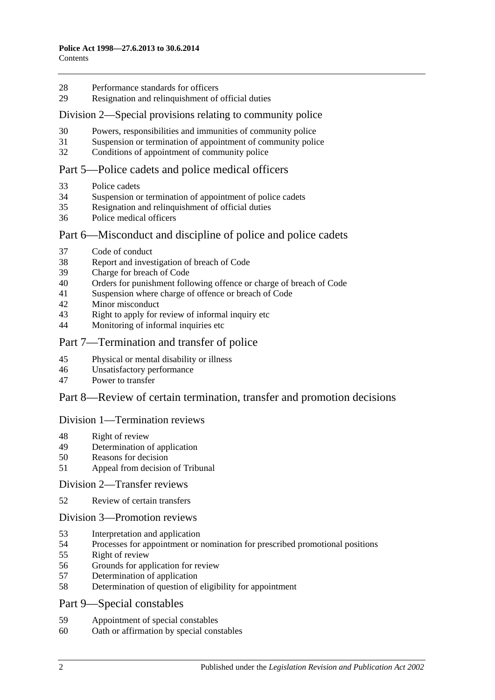- [Performance standards for officers](#page-11-0)
- Resignation [and relinquishment of official duties](#page-11-1)

#### [Division 2—Special provisions relating to community police](#page-11-2)

- [Powers, responsibilities and immunities of community police](#page-11-3)
- [Suspension or termination of appointment of community police](#page-11-4)
- [Conditions of appointment of community police](#page-12-0)

#### [Part 5—Police cadets and police medical officers](#page-12-1)

- [Police cadets](#page-12-2)
- [Suspension or termination of appointment of police cadets](#page-12-3)
- [Resignation and relinquishment of official duties](#page-12-4)
- [Police medical officers](#page-12-5)

#### Part [6—Misconduct and discipline of police and police cadets](#page-12-6)

- [Code of conduct](#page-12-7)
- [Report and investigation of breach of Code](#page-13-0)
- [Charge for breach of Code](#page-13-1)
- [Orders for punishment following offence or charge of breach of Code](#page-13-2)
- [Suspension where charge of offence or breach of Code](#page-14-0)
- [Minor misconduct](#page-15-0)
- [Right to apply for review of informal inquiry etc](#page-16-0)
- [Monitoring of informal inquiries etc](#page-17-0)

#### [Part 7—Termination and transfer of police](#page-17-1)

- [Physical or mental disability or illness](#page-17-2)
- [Unsatisfactory performance](#page-17-3)
- [Power to transfer](#page-18-0)

#### [Part 8—Review of certain termination, transfer and promotion decisions](#page-18-1)

#### [Division 1—Termination reviews](#page-18-2)

- [Right of review](#page-18-3)
- [Determination of application](#page-19-0)
- [Reasons for decision](#page-19-1)
- [Appeal from decision of Tribunal](#page-19-2)

#### [Division 2—Transfer reviews](#page-19-3)

[Review of certain transfers](#page-19-4)

#### [Division 3—Promotion reviews](#page-20-0)

- [Interpretation and application](#page-20-1)
- [Processes for appointment or nomination for prescribed promotional positions](#page-20-2)
- [Right of review](#page-20-3)
- [Grounds for application for review](#page-20-4)
- [Determination of application](#page-21-0)
- [Determination of question of eligibility for appointment](#page-21-1)
- [Part 9—Special constables](#page-21-2)
- [Appointment of special constables](#page-21-3)
- [Oath or affirmation by special constables](#page-21-4)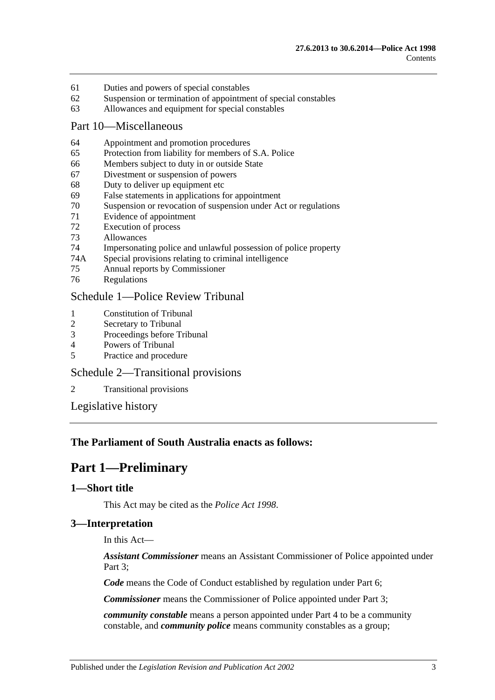- 61 [Duties and powers of special constables](#page-21-5)
- 62 [Suspension or termination of appointment of special constables](#page-22-0)
- 63 [Allowances and equipment for special constables](#page-22-1)

#### [Part 10—Miscellaneous](#page-22-2)

- 64 [Appointment and promotion procedures](#page-22-3)
- 65 [Protection from liability for members of S.A. Police](#page-22-4)
- 66 [Members subject to duty in or outside State](#page-22-5)
- 67 [Divestment or suspension of powers](#page-23-0)
- 68 [Duty to deliver up equipment etc](#page-23-1)
- 69 [False statements in applications for appointment](#page-23-2)
- 70 [Suspension or revocation of suspension under Act or regulations](#page-23-3)
- 71 [Evidence of appointment](#page-24-0)
- 72 [Execution of process](#page-24-1)
- 73 [Allowances](#page-24-2)
- 74 [Impersonating police and unlawful possession of police property](#page-25-0)
- 74A [Special provisions relating to criminal intelligence](#page-25-1)
- 75 [Annual reports by Commissioner](#page-26-0)
- 76 [Regulations](#page-26-1)

# [Schedule 1—Police Review Tribunal](#page-27-0)

- 1 [Constitution of Tribunal](#page-27-1)<br>2 Secretary to Tribunal
- [Secretary to Tribunal](#page-27-2)
- 3 [Proceedings before Tribunal](#page-27-3)
- 4 [Powers of Tribunal](#page-28-0)
- 5 [Practice and procedure](#page-28-1)

# [Schedule 2—Transitional provisions](#page-28-2)

2 [Transitional provisions](#page-28-3)

[Legislative history](#page-30-0)

# <span id="page-2-0"></span>**The Parliament of South Australia enacts as follows:**

# **Part 1—Preliminary**

#### <span id="page-2-1"></span>**1—Short title**

This Act may be cited as the *Police Act 1998*.

# <span id="page-2-2"></span>**3—Interpretation**

In this Act—

*Assistant Commissioner* means an Assistant Commissioner of Police appointed under Part 3:

*Code* means the Code of Conduct established by regulation under [Part 6;](#page-12-6)

*Commissioner* means the Commissioner of Police appointed under [Part 3;](#page-5-1)

*community constable* means a person appointed under [Part 4](#page-9-0) to be a community constable, and *community police* means community constables as a group;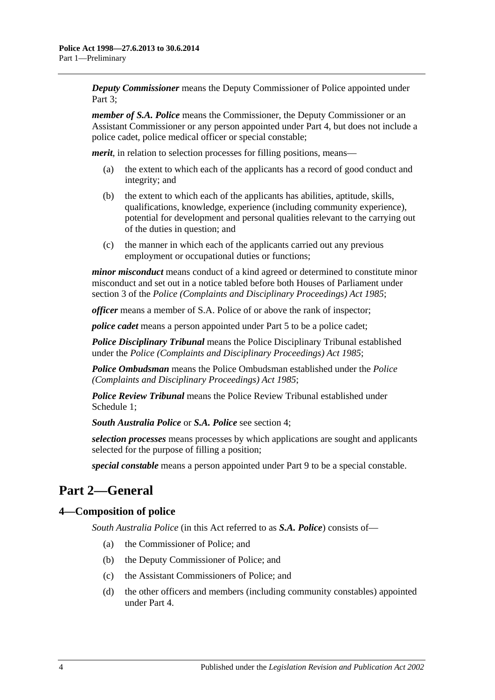*Deputy Commissioner* means the Deputy Commissioner of Police appointed under Part 3:

*member of S.A. Police* means the Commissioner, the Deputy Commissioner or an Assistant Commissioner or any person appointed under [Part 4,](#page-9-0) but does not include a police cadet, police medical officer or special constable;

*merit*, in relation to selection processes for filling positions, means—

- (a) the extent to which each of the applicants has a record of good conduct and integrity; and
- (b) the extent to which each of the applicants has abilities, aptitude, skills, qualifications, knowledge, experience (including community experience), potential for development and personal qualities relevant to the carrying out of the duties in question; and
- (c) the manner in which each of the applicants carried out any previous employment or occupational duties or functions;

*minor misconduct* means conduct of a kind agreed or determined to constitute minor misconduct and set out in a notice tabled before both Houses of Parliament under section 3 of the *[Police \(Complaints and Disciplinary Proceedings\) Act](http://www.legislation.sa.gov.au/index.aspx?action=legref&type=act&legtitle=Police%20(Complaints%20and%20Disciplinary%20Proceedings)%20Act%201985) 1985*;

*officer* means a member of S.A. Police of or above the rank of inspector;

*police cadet* means a person appointed under [Part 5](#page-12-1) to be a police cadet;

*Police Disciplinary Tribunal* means the Police Disciplinary Tribunal established under the *[Police \(Complaints and Disciplinary Proceedings\) Act](http://www.legislation.sa.gov.au/index.aspx?action=legref&type=act&legtitle=Police%20(Complaints%20and%20Disciplinary%20Proceedings)%20Act%201985) 1985*;

*Police Ombudsman* means the Police Ombudsman established under the *[Police](http://www.legislation.sa.gov.au/index.aspx?action=legref&type=act&legtitle=Police%20(Complaints%20and%20Disciplinary%20Proceedings)%20Act%201985)  [\(Complaints and Disciplinary Proceedings\) Act](http://www.legislation.sa.gov.au/index.aspx?action=legref&type=act&legtitle=Police%20(Complaints%20and%20Disciplinary%20Proceedings)%20Act%201985) 1985*;

*Police Review Tribunal* means the Police Review Tribunal established under [Schedule](#page-27-0) 1;

*South Australia Police* or *S.A. Police* see [section](#page-3-1) 4;

*selection processes* means processes by which applications are sought and applicants selected for the purpose of filling a position;

*special constable* means a person appointed under [Part 9](#page-21-2) to be a special constable.

# <span id="page-3-0"></span>**Part 2—General**

# <span id="page-3-1"></span>**4—Composition of police**

*South Australia Police* (in this Act referred to as *S.A. Police*) consists of—

- (a) the Commissioner of Police; and
- (b) the Deputy Commissioner of Police; and
- (c) the Assistant Commissioners of Police; and
- (d) the other officers and members (including community constables) appointed under [Part 4.](#page-9-0)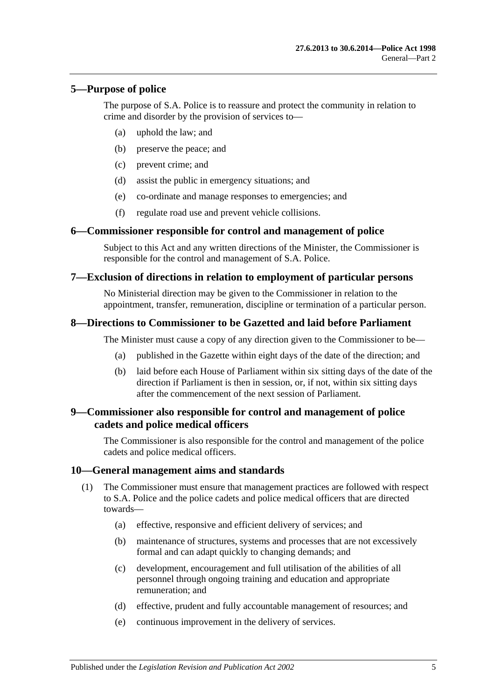# <span id="page-4-0"></span>**5—Purpose of police**

The purpose of S.A. Police is to reassure and protect the community in relation to crime and disorder by the provision of services to—

- (a) uphold the law; and
- (b) preserve the peace; and
- (c) prevent crime; and
- (d) assist the public in emergency situations; and
- (e) co-ordinate and manage responses to emergencies; and
- (f) regulate road use and prevent vehicle collisions.

#### <span id="page-4-1"></span>**6—Commissioner responsible for control and management of police**

Subject to this Act and any written directions of the Minister, the Commissioner is responsible for the control and management of S.A. Police.

# <span id="page-4-2"></span>**7—Exclusion of directions in relation to employment of particular persons**

No Ministerial direction may be given to the Commissioner in relation to the appointment, transfer, remuneration, discipline or termination of a particular person.

# <span id="page-4-3"></span>**8—Directions to Commissioner to be Gazetted and laid before Parliament**

The Minister must cause a copy of any direction given to the Commissioner to be—

- (a) published in the Gazette within eight days of the date of the direction; and
- (b) laid before each House of Parliament within six sitting days of the date of the direction if Parliament is then in session, or, if not, within six sitting days after the commencement of the next session of Parliament.

# <span id="page-4-4"></span>**9—Commissioner also responsible for control and management of police cadets and police medical officers**

The Commissioner is also responsible for the control and management of the police cadets and police medical officers.

#### <span id="page-4-5"></span>**10—General management aims and standards**

- (1) The Commissioner must ensure that management practices are followed with respect to S.A. Police and the police cadets and police medical officers that are directed towards—
	- (a) effective, responsive and efficient delivery of services; and
	- (b) maintenance of structures, systems and processes that are not excessively formal and can adapt quickly to changing demands; and
	- (c) development, encouragement and full utilisation of the abilities of all personnel through ongoing training and education and appropriate remuneration; and
	- (d) effective, prudent and fully accountable management of resources; and
	- (e) continuous improvement in the delivery of services.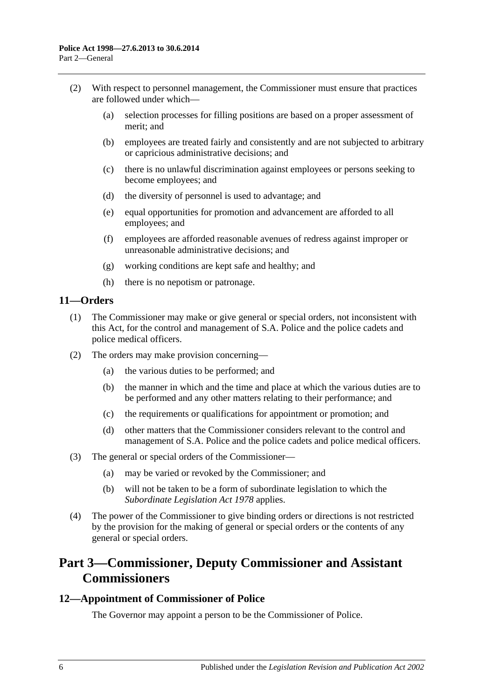- (2) With respect to personnel management, the Commissioner must ensure that practices are followed under which—
	- (a) selection processes for filling positions are based on a proper assessment of merit; and
	- (b) employees are treated fairly and consistently and are not subjected to arbitrary or capricious administrative decisions; and
	- (c) there is no unlawful discrimination against employees or persons seeking to become employees; and
	- (d) the diversity of personnel is used to advantage; and
	- (e) equal opportunities for promotion and advancement are afforded to all employees; and
	- (f) employees are afforded reasonable avenues of redress against improper or unreasonable administrative decisions; and
	- (g) working conditions are kept safe and healthy; and
	- (h) there is no nepotism or patronage.

# <span id="page-5-0"></span>**11—Orders**

- (1) The Commissioner may make or give general or special orders, not inconsistent with this Act, for the control and management of S.A. Police and the police cadets and police medical officers.
- (2) The orders may make provision concerning—
	- (a) the various duties to be performed; and
	- (b) the manner in which and the time and place at which the various duties are to be performed and any other matters relating to their performance; and
	- (c) the requirements or qualifications for appointment or promotion; and
	- (d) other matters that the Commissioner considers relevant to the control and management of S.A. Police and the police cadets and police medical officers.
- (3) The general or special orders of the Commissioner—
	- (a) may be varied or revoked by the Commissioner; and
	- (b) will not be taken to be a form of subordinate legislation to which the *[Subordinate Legislation Act](http://www.legislation.sa.gov.au/index.aspx?action=legref&type=act&legtitle=Subordinate%20Legislation%20Act%201978) 1978* applies.
- (4) The power of the Commissioner to give binding orders or directions is not restricted by the provision for the making of general or special orders or the contents of any general or special orders.

# <span id="page-5-1"></span>**Part 3—Commissioner, Deputy Commissioner and Assistant Commissioners**

#### <span id="page-5-2"></span>**12—Appointment of Commissioner of Police**

The Governor may appoint a person to be the Commissioner of Police.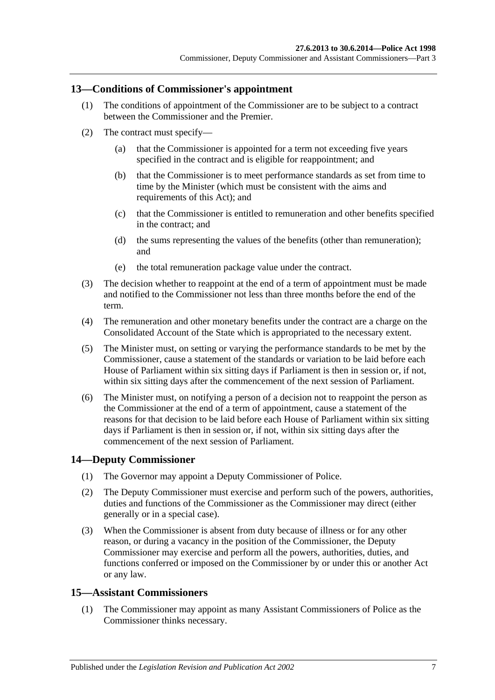### <span id="page-6-0"></span>**13—Conditions of Commissioner's appointment**

- (1) The conditions of appointment of the Commissioner are to be subject to a contract between the Commissioner and the Premier.
- (2) The contract must specify—
	- (a) that the Commissioner is appointed for a term not exceeding five years specified in the contract and is eligible for reappointment; and
	- (b) that the Commissioner is to meet performance standards as set from time to time by the Minister (which must be consistent with the aims and requirements of this Act); and
	- (c) that the Commissioner is entitled to remuneration and other benefits specified in the contract; and
	- (d) the sums representing the values of the benefits (other than remuneration); and
	- (e) the total remuneration package value under the contract.
- (3) The decision whether to reappoint at the end of a term of appointment must be made and notified to the Commissioner not less than three months before the end of the term.
- (4) The remuneration and other monetary benefits under the contract are a charge on the Consolidated Account of the State which is appropriated to the necessary extent.
- (5) The Minister must, on setting or varying the performance standards to be met by the Commissioner, cause a statement of the standards or variation to be laid before each House of Parliament within six sitting days if Parliament is then in session or, if not, within six sitting days after the commencement of the next session of Parliament.
- (6) The Minister must, on notifying a person of a decision not to reappoint the person as the Commissioner at the end of a term of appointment, cause a statement of the reasons for that decision to be laid before each House of Parliament within six sitting days if Parliament is then in session or, if not, within six sitting days after the commencement of the next session of Parliament.

# <span id="page-6-1"></span>**14—Deputy Commissioner**

- (1) The Governor may appoint a Deputy Commissioner of Police.
- (2) The Deputy Commissioner must exercise and perform such of the powers, authorities, duties and functions of the Commissioner as the Commissioner may direct (either generally or in a special case).
- (3) When the Commissioner is absent from duty because of illness or for any other reason, or during a vacancy in the position of the Commissioner, the Deputy Commissioner may exercise and perform all the powers, authorities, duties, and functions conferred or imposed on the Commissioner by or under this or another Act or any law.

#### <span id="page-6-2"></span>**15—Assistant Commissioners**

(1) The Commissioner may appoint as many Assistant Commissioners of Police as the Commissioner thinks necessary.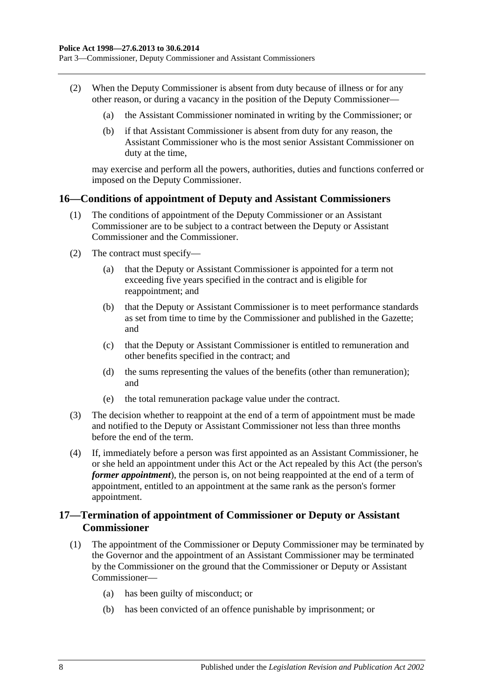Part 3—Commissioner, Deputy Commissioner and Assistant Commissioners

- (2) When the Deputy Commissioner is absent from duty because of illness or for any other reason, or during a vacancy in the position of the Deputy Commissioner—
	- (a) the Assistant Commissioner nominated in writing by the Commissioner; or
	- (b) if that Assistant Commissioner is absent from duty for any reason, the Assistant Commissioner who is the most senior Assistant Commissioner on duty at the time,

may exercise and perform all the powers, authorities, duties and functions conferred or imposed on the Deputy Commissioner.

#### <span id="page-7-0"></span>**16—Conditions of appointment of Deputy and Assistant Commissioners**

- (1) The conditions of appointment of the Deputy Commissioner or an Assistant Commissioner are to be subject to a contract between the Deputy or Assistant Commissioner and the Commissioner.
- (2) The contract must specify—
	- (a) that the Deputy or Assistant Commissioner is appointed for a term not exceeding five years specified in the contract and is eligible for reappointment; and
	- (b) that the Deputy or Assistant Commissioner is to meet performance standards as set from time to time by the Commissioner and published in the Gazette; and
	- (c) that the Deputy or Assistant Commissioner is entitled to remuneration and other benefits specified in the contract; and
	- (d) the sums representing the values of the benefits (other than remuneration); and
	- (e) the total remuneration package value under the contract.
- (3) The decision whether to reappoint at the end of a term of appointment must be made and notified to the Deputy or Assistant Commissioner not less than three months before the end of the term.
- (4) If, immediately before a person was first appointed as an Assistant Commissioner, he or she held an appointment under this Act or the Act repealed by this Act (the person's *former appointment*), the person is, on not being reappointed at the end of a term of appointment, entitled to an appointment at the same rank as the person's former appointment.

# <span id="page-7-1"></span>**17—Termination of appointment of Commissioner or Deputy or Assistant Commissioner**

- (1) The appointment of the Commissioner or Deputy Commissioner may be terminated by the Governor and the appointment of an Assistant Commissioner may be terminated by the Commissioner on the ground that the Commissioner or Deputy or Assistant Commissioner—
	- (a) has been guilty of misconduct; or
	- (b) has been convicted of an offence punishable by imprisonment; or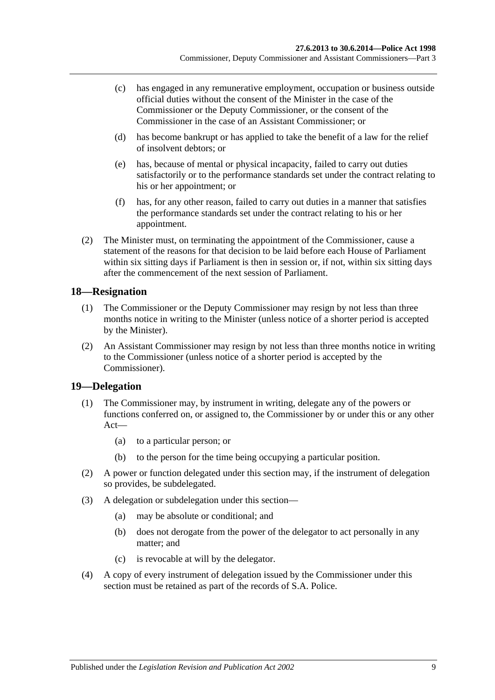- (c) has engaged in any remunerative employment, occupation or business outside official duties without the consent of the Minister in the case of the Commissioner or the Deputy Commissioner, or the consent of the Commissioner in the case of an Assistant Commissioner; or
- (d) has become bankrupt or has applied to take the benefit of a law for the relief of insolvent debtors; or
- (e) has, because of mental or physical incapacity, failed to carry out duties satisfactorily or to the performance standards set under the contract relating to his or her appointment; or
- (f) has, for any other reason, failed to carry out duties in a manner that satisfies the performance standards set under the contract relating to his or her appointment.
- (2) The Minister must, on terminating the appointment of the Commissioner, cause a statement of the reasons for that decision to be laid before each House of Parliament within six sitting days if Parliament is then in session or, if not, within six sitting days after the commencement of the next session of Parliament.

# <span id="page-8-0"></span>**18—Resignation**

- (1) The Commissioner or the Deputy Commissioner may resign by not less than three months notice in writing to the Minister (unless notice of a shorter period is accepted by the Minister).
- (2) An Assistant Commissioner may resign by not less than three months notice in writing to the Commissioner (unless notice of a shorter period is accepted by the Commissioner).

#### <span id="page-8-1"></span>**19—Delegation**

- (1) The Commissioner may, by instrument in writing, delegate any of the powers or functions conferred on, or assigned to, the Commissioner by or under this or any other Act—
	- (a) to a particular person; or
	- (b) to the person for the time being occupying a particular position.
- (2) A power or function delegated under this section may, if the instrument of delegation so provides, be subdelegated.
- (3) A delegation or subdelegation under this section—
	- (a) may be absolute or conditional; and
	- (b) does not derogate from the power of the delegator to act personally in any matter; and
	- (c) is revocable at will by the delegator.
- (4) A copy of every instrument of delegation issued by the Commissioner under this section must be retained as part of the records of S.A. Police.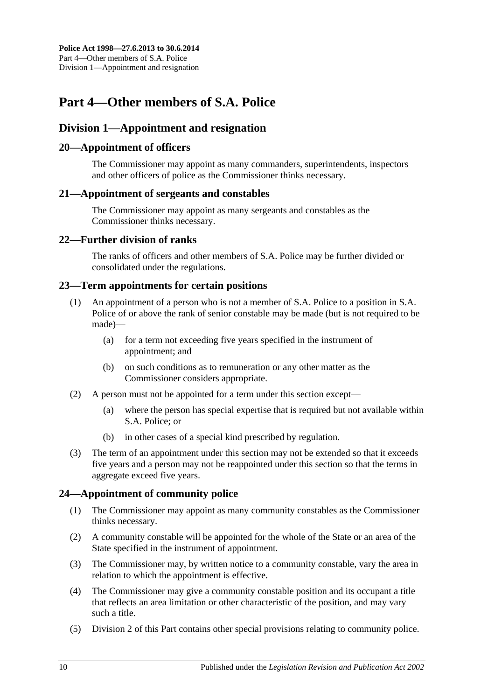# <span id="page-9-0"></span>**Part 4—Other members of S.A. Police**

# <span id="page-9-1"></span>**Division 1—Appointment and resignation**

# <span id="page-9-2"></span>**20—Appointment of officers**

The Commissioner may appoint as many commanders, superintendents, inspectors and other officers of police as the Commissioner thinks necessary.

#### <span id="page-9-3"></span>**21—Appointment of sergeants and constables**

The Commissioner may appoint as many sergeants and constables as the Commissioner thinks necessary.

# <span id="page-9-4"></span>**22—Further division of ranks**

The ranks of officers and other members of S.A. Police may be further divided or consolidated under the regulations.

#### <span id="page-9-5"></span>**23—Term appointments for certain positions**

- (1) An appointment of a person who is not a member of S.A. Police to a position in S.A. Police of or above the rank of senior constable may be made (but is not required to be made)—
	- (a) for a term not exceeding five years specified in the instrument of appointment; and
	- (b) on such conditions as to remuneration or any other matter as the Commissioner considers appropriate.
- (2) A person must not be appointed for a term under this section except—
	- (a) where the person has special expertise that is required but not available within S.A. Police; or
	- (b) in other cases of a special kind prescribed by regulation.
- (3) The term of an appointment under this section may not be extended so that it exceeds five years and a person may not be reappointed under this section so that the terms in aggregate exceed five years.

# <span id="page-9-6"></span>**24—Appointment of community police**

- (1) The Commissioner may appoint as many community constables as the Commissioner thinks necessary.
- (2) A community constable will be appointed for the whole of the State or an area of the State specified in the instrument of appointment.
- (3) The Commissioner may, by written notice to a community constable, vary the area in relation to which the appointment is effective.
- (4) The Commissioner may give a community constable position and its occupant a title that reflects an area limitation or other characteristic of the position, and may vary such a title.
- (5) [Division 2](#page-11-2) of this Part contains other special provisions relating to community police.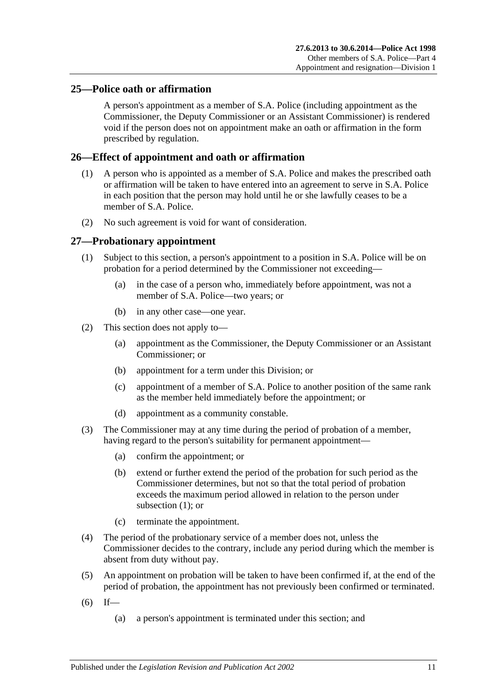# <span id="page-10-0"></span>**25—Police oath or affirmation**

A person's appointment as a member of S.A. Police (including appointment as the Commissioner, the Deputy Commissioner or an Assistant Commissioner) is rendered void if the person does not on appointment make an oath or affirmation in the form prescribed by regulation.

# <span id="page-10-1"></span>**26—Effect of appointment and oath or affirmation**

- (1) A person who is appointed as a member of S.A. Police and makes the prescribed oath or affirmation will be taken to have entered into an agreement to serve in S.A. Police in each position that the person may hold until he or she lawfully ceases to be a member of S.A. Police.
- (2) No such agreement is void for want of consideration.

#### <span id="page-10-3"></span><span id="page-10-2"></span>**27—Probationary appointment**

- (1) Subject to this section, a person's appointment to a position in S.A. Police will be on probation for a period determined by the Commissioner not exceeding—
	- (a) in the case of a person who, immediately before appointment, was not a member of S.A. Police—two years; or
	- (b) in any other case—one year.
- (2) This section does not apply to—
	- (a) appointment as the Commissioner, the Deputy Commissioner or an Assistant Commissioner; or
	- (b) appointment for a term under this Division; or
	- (c) appointment of a member of S.A. Police to another position of the same rank as the member held immediately before the appointment; or
	- (d) appointment as a community constable.
- (3) The Commissioner may at any time during the period of probation of a member, having regard to the person's suitability for permanent appointment—
	- (a) confirm the appointment; or
	- (b) extend or further extend the period of the probation for such period as the Commissioner determines, but not so that the total period of probation exceeds the maximum period allowed in relation to the person under [subsection](#page-10-3) (1); or
	- (c) terminate the appointment.
- (4) The period of the probationary service of a member does not, unless the Commissioner decides to the contrary, include any period during which the member is absent from duty without pay.
- (5) An appointment on probation will be taken to have been confirmed if, at the end of the period of probation, the appointment has not previously been confirmed or terminated.
- $(6)$  If—
	- (a) a person's appointment is terminated under this section; and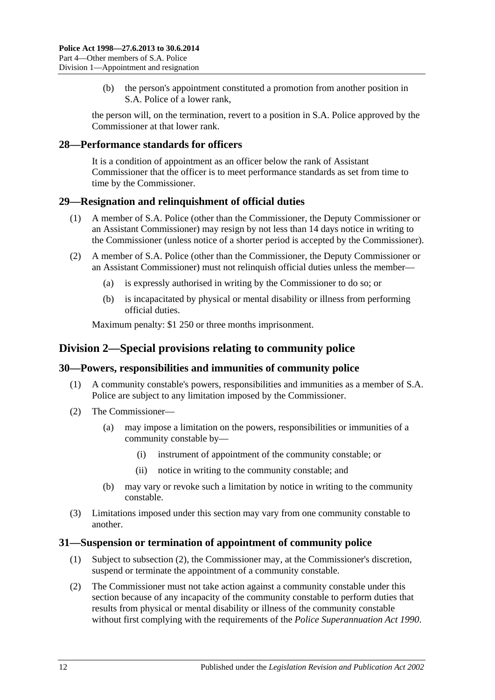(b) the person's appointment constituted a promotion from another position in S.A. Police of a lower rank,

the person will, on the termination, revert to a position in S.A. Police approved by the Commissioner at that lower rank.

### <span id="page-11-0"></span>**28—Performance standards for officers**

It is a condition of appointment as an officer below the rank of Assistant Commissioner that the officer is to meet performance standards as set from time to time by the Commissioner.

#### <span id="page-11-1"></span>**29—Resignation and relinquishment of official duties**

- (1) A member of S.A. Police (other than the Commissioner, the Deputy Commissioner or an Assistant Commissioner) may resign by not less than 14 days notice in writing to the Commissioner (unless notice of a shorter period is accepted by the Commissioner).
- (2) A member of S.A. Police (other than the Commissioner, the Deputy Commissioner or an Assistant Commissioner) must not relinquish official duties unless the member—
	- (a) is expressly authorised in writing by the Commissioner to do so; or
	- (b) is incapacitated by physical or mental disability or illness from performing official duties.

Maximum penalty: \$1 250 or three months imprisonment.

# <span id="page-11-2"></span>**Division 2—Special provisions relating to community police**

# <span id="page-11-3"></span>**30—Powers, responsibilities and immunities of community police**

- (1) A community constable's powers, responsibilities and immunities as a member of S.A. Police are subject to any limitation imposed by the Commissioner.
- (2) The Commissioner—
	- (a) may impose a limitation on the powers, responsibilities or immunities of a community constable by—
		- (i) instrument of appointment of the community constable; or
		- (ii) notice in writing to the community constable; and
	- (b) may vary or revoke such a limitation by notice in writing to the community constable.
- (3) Limitations imposed under this section may vary from one community constable to another.

#### <span id="page-11-4"></span>**31—Suspension or termination of appointment of community police**

- (1) Subject to [subsection](#page-11-5) (2), the Commissioner may, at the Commissioner's discretion, suspend or terminate the appointment of a community constable.
- <span id="page-11-5"></span>(2) The Commissioner must not take action against a community constable under this section because of any incapacity of the community constable to perform duties that results from physical or mental disability or illness of the community constable without first complying with the requirements of the *[Police Superannuation Act](http://www.legislation.sa.gov.au/index.aspx?action=legref&type=act&legtitle=Police%20Superannuation%20Act%201990) 1990*.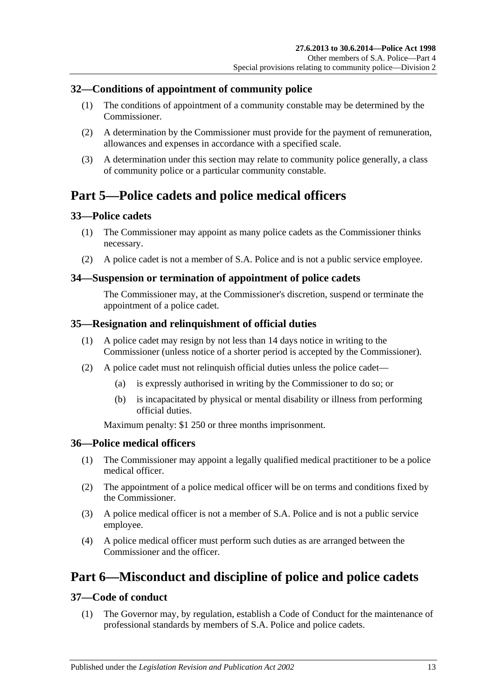# <span id="page-12-0"></span>**32—Conditions of appointment of community police**

- (1) The conditions of appointment of a community constable may be determined by the Commissioner.
- (2) A determination by the Commissioner must provide for the payment of remuneration, allowances and expenses in accordance with a specified scale.
- (3) A determination under this section may relate to community police generally, a class of community police or a particular community constable.

# <span id="page-12-1"></span>**Part 5—Police cadets and police medical officers**

# <span id="page-12-2"></span>**33—Police cadets**

- (1) The Commissioner may appoint as many police cadets as the Commissioner thinks necessary.
- (2) A police cadet is not a member of S.A. Police and is not a public service employee.

#### <span id="page-12-3"></span>**34—Suspension or termination of appointment of police cadets**

The Commissioner may, at the Commissioner's discretion, suspend or terminate the appointment of a police cadet.

#### <span id="page-12-4"></span>**35—Resignation and relinquishment of official duties**

- (1) A police cadet may resign by not less than 14 days notice in writing to the Commissioner (unless notice of a shorter period is accepted by the Commissioner).
- (2) A police cadet must not relinquish official duties unless the police cadet—
	- (a) is expressly authorised in writing by the Commissioner to do so; or
	- (b) is incapacitated by physical or mental disability or illness from performing official duties.

Maximum penalty: \$1 250 or three months imprisonment.

#### <span id="page-12-5"></span>**36—Police medical officers**

- (1) The Commissioner may appoint a legally qualified medical practitioner to be a police medical officer.
- (2) The appointment of a police medical officer will be on terms and conditions fixed by the Commissioner.
- (3) A police medical officer is not a member of S.A. Police and is not a public service employee.
- (4) A police medical officer must perform such duties as are arranged between the Commissioner and the officer.

# <span id="page-12-6"></span>**Part 6—Misconduct and discipline of police and police cadets**

#### <span id="page-12-7"></span>**37—Code of conduct**

(1) The Governor may, by regulation, establish a Code of Conduct for the maintenance of professional standards by members of S.A. Police and police cadets.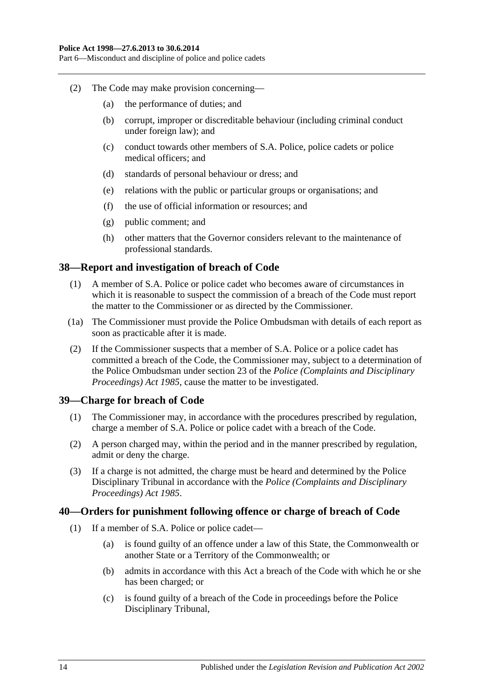Part 6—Misconduct and discipline of police and police cadets

- (2) The Code may make provision concerning—
	- (a) the performance of duties; and
	- (b) corrupt, improper or discreditable behaviour (including criminal conduct under foreign law); and
	- (c) conduct towards other members of S.A. Police, police cadets or police medical officers; and
	- (d) standards of personal behaviour or dress; and
	- (e) relations with the public or particular groups or organisations; and
	- (f) the use of official information or resources; and
	- (g) public comment; and
	- (h) other matters that the Governor considers relevant to the maintenance of professional standards.

# <span id="page-13-0"></span>**38—Report and investigation of breach of Code**

- (1) A member of S.A. Police or police cadet who becomes aware of circumstances in which it is reasonable to suspect the commission of a breach of the Code must report the matter to the Commissioner or as directed by the Commissioner.
- (1a) The Commissioner must provide the Police Ombudsman with details of each report as soon as practicable after it is made.
- (2) If the Commissioner suspects that a member of S.A. Police or a police cadet has committed a breach of the Code, the Commissioner may, subject to a determination of the Police Ombudsman under section 23 of the *[Police \(Complaints and Disciplinary](http://www.legislation.sa.gov.au/index.aspx?action=legref&type=act&legtitle=Police%20(Complaints%20and%20Disciplinary%20Proceedings)%20Act%201985)  [Proceedings\) Act](http://www.legislation.sa.gov.au/index.aspx?action=legref&type=act&legtitle=Police%20(Complaints%20and%20Disciplinary%20Proceedings)%20Act%201985) 1985*, cause the matter to be investigated.

#### <span id="page-13-1"></span>**39—Charge for breach of Code**

- (1) The Commissioner may, in accordance with the procedures prescribed by regulation, charge a member of S.A. Police or police cadet with a breach of the Code.
- (2) A person charged may, within the period and in the manner prescribed by regulation, admit or deny the charge.
- (3) If a charge is not admitted, the charge must be heard and determined by the Police Disciplinary Tribunal in accordance with the *[Police \(Complaints and Disciplinary](http://www.legislation.sa.gov.au/index.aspx?action=legref&type=act&legtitle=Police%20(Complaints%20and%20Disciplinary%20Proceedings)%20Act%201985)  [Proceedings\) Act](http://www.legislation.sa.gov.au/index.aspx?action=legref&type=act&legtitle=Police%20(Complaints%20and%20Disciplinary%20Proceedings)%20Act%201985) 1985*.

#### <span id="page-13-2"></span>**40—Orders for punishment following offence or charge of breach of Code**

- (1) If a member of S.A. Police or police cadet—
	- (a) is found guilty of an offence under a law of this State, the Commonwealth or another State or a Territory of the Commonwealth; or
	- (b) admits in accordance with this Act a breach of the Code with which he or she has been charged; or
	- (c) is found guilty of a breach of the Code in proceedings before the Police Disciplinary Tribunal,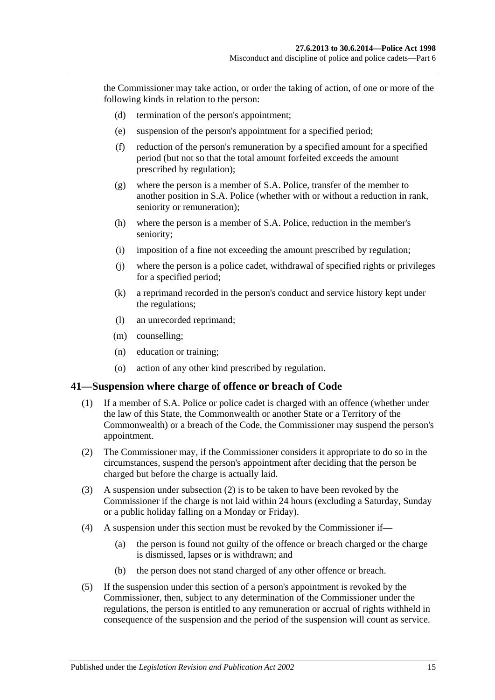the Commissioner may take action, or order the taking of action, of one or more of the following kinds in relation to the person:

- (d) termination of the person's appointment;
- (e) suspension of the person's appointment for a specified period;
- (f) reduction of the person's remuneration by a specified amount for a specified period (but not so that the total amount forfeited exceeds the amount prescribed by regulation);
- (g) where the person is a member of S.A. Police, transfer of the member to another position in S.A. Police (whether with or without a reduction in rank, seniority or remuneration);
- (h) where the person is a member of S.A. Police, reduction in the member's seniority;
- (i) imposition of a fine not exceeding the amount prescribed by regulation;
- (j) where the person is a police cadet, withdrawal of specified rights or privileges for a specified period;
- (k) a reprimand recorded in the person's conduct and service history kept under the regulations;
- (l) an unrecorded reprimand;
- (m) counselling;
- (n) education or training;
- (o) action of any other kind prescribed by regulation.

#### <span id="page-14-0"></span>**41—Suspension where charge of offence or breach of Code**

- (1) If a member of S.A. Police or police cadet is charged with an offence (whether under the law of this State, the Commonwealth or another State or a Territory of the Commonwealth) or a breach of the Code, the Commissioner may suspend the person's appointment.
- <span id="page-14-1"></span>(2) The Commissioner may, if the Commissioner considers it appropriate to do so in the circumstances, suspend the person's appointment after deciding that the person be charged but before the charge is actually laid.
- (3) A suspension under [subsection](#page-14-1) (2) is to be taken to have been revoked by the Commissioner if the charge is not laid within 24 hours (excluding a Saturday, Sunday or a public holiday falling on a Monday or Friday).
- (4) A suspension under this section must be revoked by the Commissioner if—
	- (a) the person is found not guilty of the offence or breach charged or the charge is dismissed, lapses or is withdrawn; and
	- (b) the person does not stand charged of any other offence or breach.
- (5) If the suspension under this section of a person's appointment is revoked by the Commissioner, then, subject to any determination of the Commissioner under the regulations, the person is entitled to any remuneration or accrual of rights withheld in consequence of the suspension and the period of the suspension will count as service.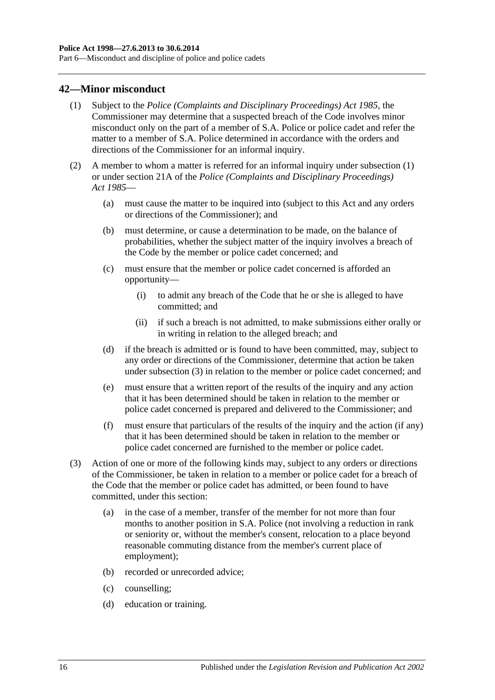# <span id="page-15-1"></span><span id="page-15-0"></span>**42—Minor misconduct**

- (1) Subject to the *[Police \(Complaints and Disciplinary Proceedings\) Act](http://www.legislation.sa.gov.au/index.aspx?action=legref&type=act&legtitle=Police%20(Complaints%20and%20Disciplinary%20Proceedings)%20Act%201985) 1985*, the Commissioner may determine that a suspected breach of the Code involves minor misconduct only on the part of a member of S.A. Police or police cadet and refer the matter to a member of S.A. Police determined in accordance with the orders and directions of the Commissioner for an informal inquiry.
- (2) A member to whom a matter is referred for an informal inquiry under [subsection](#page-15-1) (1) or under section 21A of the *[Police \(Complaints and Disciplinary Proceedings\)](http://www.legislation.sa.gov.au/index.aspx?action=legref&type=act&legtitle=Police%20(Complaints%20and%20Disciplinary%20Proceedings)%20Act%201985)  Act [1985](http://www.legislation.sa.gov.au/index.aspx?action=legref&type=act&legtitle=Police%20(Complaints%20and%20Disciplinary%20Proceedings)%20Act%201985)*—
	- (a) must cause the matter to be inquired into (subject to this Act and any orders or directions of the Commissioner); and
	- (b) must determine, or cause a determination to be made, on the balance of probabilities, whether the subject matter of the inquiry involves a breach of the Code by the member or police cadet concerned; and
	- (c) must ensure that the member or police cadet concerned is afforded an opportunity—
		- (i) to admit any breach of the Code that he or she is alleged to have committed; and
		- (ii) if such a breach is not admitted, to make submissions either orally or in writing in relation to the alleged breach; and
	- (d) if the breach is admitted or is found to have been committed, may, subject to any order or directions of the Commissioner, determine that action be taken under [subsection](#page-15-2) (3) in relation to the member or police cadet concerned; and
	- (e) must ensure that a written report of the results of the inquiry and any action that it has been determined should be taken in relation to the member or police cadet concerned is prepared and delivered to the Commissioner; and
	- (f) must ensure that particulars of the results of the inquiry and the action (if any) that it has been determined should be taken in relation to the member or police cadet concerned are furnished to the member or police cadet.
- <span id="page-15-2"></span>(3) Action of one or more of the following kinds may, subject to any orders or directions of the Commissioner, be taken in relation to a member or police cadet for a breach of the Code that the member or police cadet has admitted, or been found to have committed, under this section:
	- (a) in the case of a member, transfer of the member for not more than four months to another position in S.A. Police (not involving a reduction in rank or seniority or, without the member's consent, relocation to a place beyond reasonable commuting distance from the member's current place of employment);
	- (b) recorded or unrecorded advice;
	- (c) counselling;
	- (d) education or training.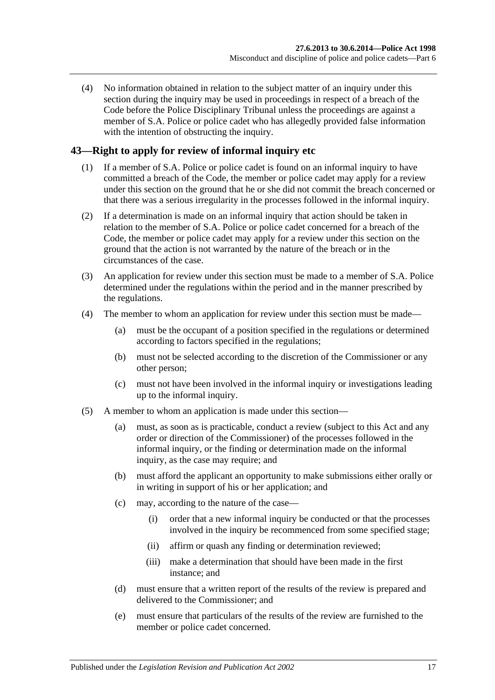(4) No information obtained in relation to the subject matter of an inquiry under this section during the inquiry may be used in proceedings in respect of a breach of the Code before the Police Disciplinary Tribunal unless the proceedings are against a member of S.A. Police or police cadet who has allegedly provided false information with the intention of obstructing the inquiry.

# <span id="page-16-0"></span>**43—Right to apply for review of informal inquiry etc**

- (1) If a member of S.A. Police or police cadet is found on an informal inquiry to have committed a breach of the Code, the member or police cadet may apply for a review under this section on the ground that he or she did not commit the breach concerned or that there was a serious irregularity in the processes followed in the informal inquiry.
- (2) If a determination is made on an informal inquiry that action should be taken in relation to the member of S.A. Police or police cadet concerned for a breach of the Code, the member or police cadet may apply for a review under this section on the ground that the action is not warranted by the nature of the breach or in the circumstances of the case.
- (3) An application for review under this section must be made to a member of S.A. Police determined under the regulations within the period and in the manner prescribed by the regulations.
- (4) The member to whom an application for review under this section must be made—
	- (a) must be the occupant of a position specified in the regulations or determined according to factors specified in the regulations;
	- (b) must not be selected according to the discretion of the Commissioner or any other person;
	- (c) must not have been involved in the informal inquiry or investigations leading up to the informal inquiry.
- (5) A member to whom an application is made under this section—
	- (a) must, as soon as is practicable, conduct a review (subject to this Act and any order or direction of the Commissioner) of the processes followed in the informal inquiry, or the finding or determination made on the informal inquiry, as the case may require; and
	- (b) must afford the applicant an opportunity to make submissions either orally or in writing in support of his or her application; and
	- (c) may, according to the nature of the case—
		- (i) order that a new informal inquiry be conducted or that the processes involved in the inquiry be recommenced from some specified stage;
		- (ii) affirm or quash any finding or determination reviewed;
		- (iii) make a determination that should have been made in the first instance; and
	- (d) must ensure that a written report of the results of the review is prepared and delivered to the Commissioner; and
	- (e) must ensure that particulars of the results of the review are furnished to the member or police cadet concerned.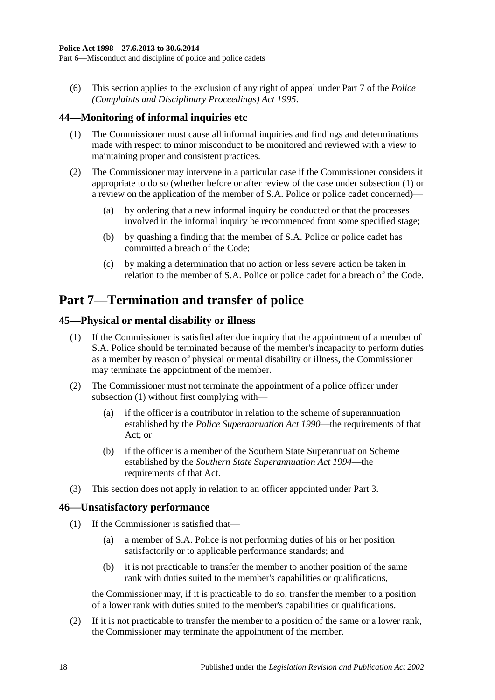(6) This section applies to the exclusion of any right of appeal under Part 7 of the *[Police](http://www.legislation.sa.gov.au/index.aspx?action=legref&type=act&legtitle=Police%20(Complaints%20and%20Disciplinary%20Proceedings)%20Act%201995)  [\(Complaints and Disciplinary Proceedings\) Act](http://www.legislation.sa.gov.au/index.aspx?action=legref&type=act&legtitle=Police%20(Complaints%20and%20Disciplinary%20Proceedings)%20Act%201995) 1995*.

# <span id="page-17-4"></span><span id="page-17-0"></span>**44—Monitoring of informal inquiries etc**

- (1) The Commissioner must cause all informal inquiries and findings and determinations made with respect to minor misconduct to be monitored and reviewed with a view to maintaining proper and consistent practices.
- (2) The Commissioner may intervene in a particular case if the Commissioner considers it appropriate to do so (whether before or after review of the case under [subsection](#page-17-4) (1) or a review on the application of the member of S.A. Police or police cadet concerned)—
	- (a) by ordering that a new informal inquiry be conducted or that the processes involved in the informal inquiry be recommenced from some specified stage;
	- (b) by quashing a finding that the member of S.A. Police or police cadet has committed a breach of the Code;
	- (c) by making a determination that no action or less severe action be taken in relation to the member of S.A. Police or police cadet for a breach of the Code.

# <span id="page-17-1"></span>**Part 7—Termination and transfer of police**

# <span id="page-17-5"></span><span id="page-17-2"></span>**45—Physical or mental disability or illness**

- (1) If the Commissioner is satisfied after due inquiry that the appointment of a member of S.A. Police should be terminated because of the member's incapacity to perform duties as a member by reason of physical or mental disability or illness, the Commissioner may terminate the appointment of the member.
- (2) The Commissioner must not terminate the appointment of a police officer under [subsection](#page-17-5) (1) without first complying with—
	- (a) if the officer is a contributor in relation to the scheme of superannuation established by the *[Police Superannuation Act](http://www.legislation.sa.gov.au/index.aspx?action=legref&type=act&legtitle=Police%20Superannuation%20Act%201990) 1990*—the requirements of that Act; or
	- (b) if the officer is a member of the Southern State Superannuation Scheme established by the *[Southern State Superannuation Act](http://www.legislation.sa.gov.au/index.aspx?action=legref&type=act&legtitle=Southern%20State%20Superannuation%20Act%201994) 1994*—the requirements of that Act.
- (3) This section does not apply in relation to an officer appointed under [Part 3.](#page-5-1)

# <span id="page-17-3"></span>**46—Unsatisfactory performance**

- (1) If the Commissioner is satisfied that—
	- (a) a member of S.A. Police is not performing duties of his or her position satisfactorily or to applicable performance standards; and
	- (b) it is not practicable to transfer the member to another position of the same rank with duties suited to the member's capabilities or qualifications,

the Commissioner may, if it is practicable to do so, transfer the member to a position of a lower rank with duties suited to the member's capabilities or qualifications.

(2) If it is not practicable to transfer the member to a position of the same or a lower rank, the Commissioner may terminate the appointment of the member.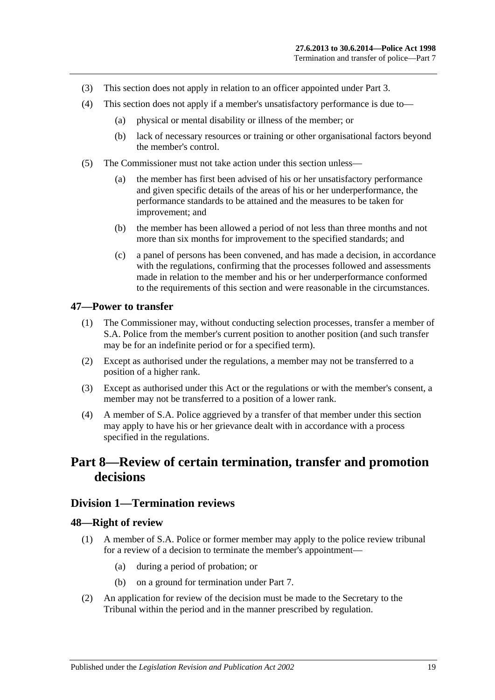- (3) This section does not apply in relation to an officer appointed under [Part 3.](#page-5-1)
- (4) This section does not apply if a member's unsatisfactory performance is due to—
	- (a) physical or mental disability or illness of the member; or
	- (b) lack of necessary resources or training or other organisational factors beyond the member's control.
- (5) The Commissioner must not take action under this section unless—
	- (a) the member has first been advised of his or her unsatisfactory performance and given specific details of the areas of his or her underperformance, the performance standards to be attained and the measures to be taken for improvement; and
	- (b) the member has been allowed a period of not less than three months and not more than six months for improvement to the specified standards; and
	- (c) a panel of persons has been convened, and has made a decision, in accordance with the regulations, confirming that the processes followed and assessments made in relation to the member and his or her underperformance conformed to the requirements of this section and were reasonable in the circumstances.

#### <span id="page-18-0"></span>**47—Power to transfer**

- (1) The Commissioner may, without conducting selection processes, transfer a member of S.A. Police from the member's current position to another position (and such transfer may be for an indefinite period or for a specified term).
- (2) Except as authorised under the regulations, a member may not be transferred to a position of a higher rank.
- (3) Except as authorised under this Act or the regulations or with the member's consent, a member may not be transferred to a position of a lower rank.
- (4) A member of S.A. Police aggrieved by a transfer of that member under this section may apply to have his or her grievance dealt with in accordance with a process specified in the regulations.

# <span id="page-18-1"></span>**Part 8—Review of certain termination, transfer and promotion decisions**

#### <span id="page-18-2"></span>**Division 1—Termination reviews**

#### <span id="page-18-3"></span>**48—Right of review**

- (1) A member of S.A. Police or former member may apply to the police review tribunal for a review of a decision to terminate the member's appointment—
	- (a) during a period of probation; or
	- (b) on a ground for termination under [Part 7.](#page-17-1)
- (2) An application for review of the decision must be made to the Secretary to the Tribunal within the period and in the manner prescribed by regulation.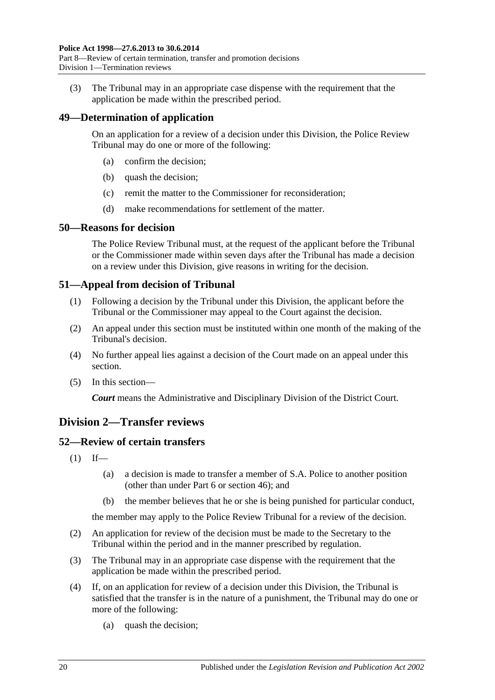(3) The Tribunal may in an appropriate case dispense with the requirement that the application be made within the prescribed period.

# <span id="page-19-0"></span>**49—Determination of application**

On an application for a review of a decision under this Division, the Police Review Tribunal may do one or more of the following:

- (a) confirm the decision;
- (b) quash the decision;
- (c) remit the matter to the Commissioner for reconsideration;
- (d) make recommendations for settlement of the matter.

#### <span id="page-19-1"></span>**50—Reasons for decision**

The Police Review Tribunal must, at the request of the applicant before the Tribunal or the Commissioner made within seven days after the Tribunal has made a decision on a review under this Division, give reasons in writing for the decision.

# <span id="page-19-2"></span>**51—Appeal from decision of Tribunal**

- (1) Following a decision by the Tribunal under this Division, the applicant before the Tribunal or the Commissioner may appeal to the Court against the decision.
- (2) An appeal under this section must be instituted within one month of the making of the Tribunal's decision.
- (4) No further appeal lies against a decision of the Court made on an appeal under this section.
- (5) In this section—

*Court* means the Administrative and Disciplinary Division of the District Court.

# <span id="page-19-3"></span>**Division 2—Transfer reviews**

# <span id="page-19-4"></span>**52—Review of certain transfers**

- $(1)$  If—
	- (a) a decision is made to transfer a member of S.A. Police to another position (other than under [Part 6](#page-12-6) or [section](#page-17-3) 46); and
	- (b) the member believes that he or she is being punished for particular conduct,

the member may apply to the Police Review Tribunal for a review of the decision.

- (2) An application for review of the decision must be made to the Secretary to the Tribunal within the period and in the manner prescribed by regulation.
- (3) The Tribunal may in an appropriate case dispense with the requirement that the application be made within the prescribed period.
- (4) If, on an application for review of a decision under this Division, the Tribunal is satisfied that the transfer is in the nature of a punishment, the Tribunal may do one or more of the following:
	- (a) quash the decision;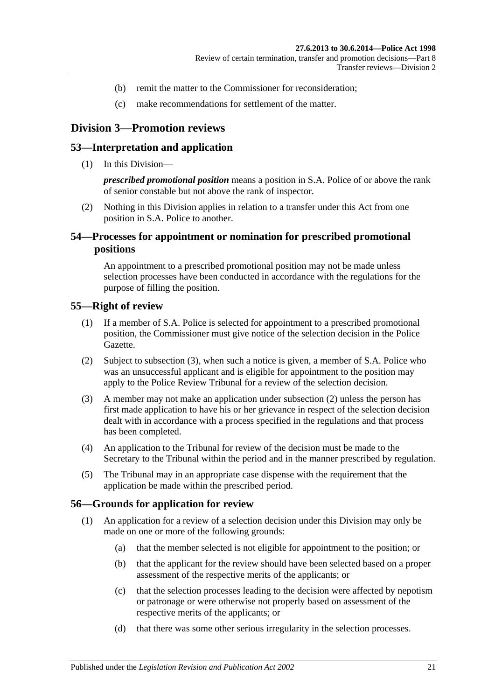- (b) remit the matter to the Commissioner for reconsideration;
- (c) make recommendations for settlement of the matter.

# <span id="page-20-0"></span>**Division 3—Promotion reviews**

#### <span id="page-20-1"></span>**53—Interpretation and application**

(1) In this Division—

*prescribed promotional position* means a position in S.A. Police of or above the rank of senior constable but not above the rank of inspector.

(2) Nothing in this Division applies in relation to a transfer under this Act from one position in S.A. Police to another.

# <span id="page-20-2"></span>**54—Processes for appointment or nomination for prescribed promotional positions**

An appointment to a prescribed promotional position may not be made unless selection processes have been conducted in accordance with the regulations for the purpose of filling the position.

#### <span id="page-20-3"></span>**55—Right of review**

- (1) If a member of S.A. Police is selected for appointment to a prescribed promotional position, the Commissioner must give notice of the selection decision in the Police Gazette.
- <span id="page-20-6"></span>(2) Subject to [subsection](#page-20-5) (3), when such a notice is given, a member of S.A. Police who was an unsuccessful applicant and is eligible for appointment to the position may apply to the Police Review Tribunal for a review of the selection decision.
- <span id="page-20-5"></span>(3) A member may not make an application under [subsection](#page-20-6) (2) unless the person has first made application to have his or her grievance in respect of the selection decision dealt with in accordance with a process specified in the regulations and that process has been completed.
- (4) An application to the Tribunal for review of the decision must be made to the Secretary to the Tribunal within the period and in the manner prescribed by regulation.
- (5) The Tribunal may in an appropriate case dispense with the requirement that the application be made within the prescribed period.

#### <span id="page-20-4"></span>**56—Grounds for application for review**

- (1) An application for a review of a selection decision under this Division may only be made on one or more of the following grounds:
	- (a) that the member selected is not eligible for appointment to the position; or
	- (b) that the applicant for the review should have been selected based on a proper assessment of the respective merits of the applicants; or
	- (c) that the selection processes leading to the decision were affected by nepotism or patronage or were otherwise not properly based on assessment of the respective merits of the applicants; or
	- (d) that there was some other serious irregularity in the selection processes.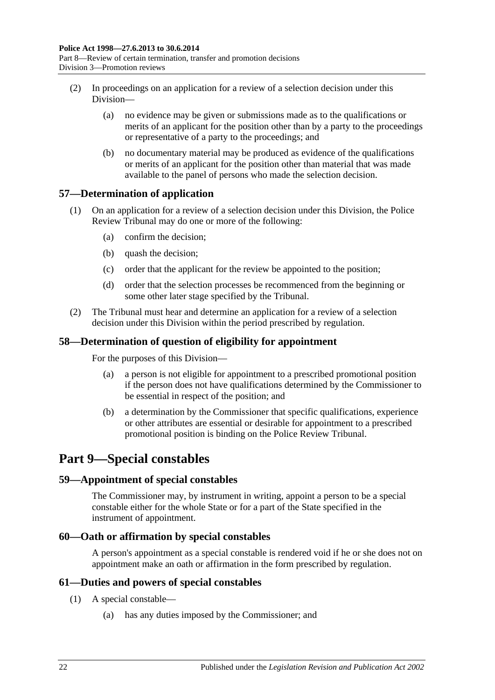- (2) In proceedings on an application for a review of a selection decision under this Division—
	- (a) no evidence may be given or submissions made as to the qualifications or merits of an applicant for the position other than by a party to the proceedings or representative of a party to the proceedings; and
	- (b) no documentary material may be produced as evidence of the qualifications or merits of an applicant for the position other than material that was made available to the panel of persons who made the selection decision.

# <span id="page-21-0"></span>**57—Determination of application**

- (1) On an application for a review of a selection decision under this Division, the Police Review Tribunal may do one or more of the following:
	- (a) confirm the decision;
	- (b) quash the decision;
	- (c) order that the applicant for the review be appointed to the position;
	- (d) order that the selection processes be recommenced from the beginning or some other later stage specified by the Tribunal.
- (2) The Tribunal must hear and determine an application for a review of a selection decision under this Division within the period prescribed by regulation.

#### <span id="page-21-1"></span>**58—Determination of question of eligibility for appointment**

For the purposes of this Division—

- (a) a person is not eligible for appointment to a prescribed promotional position if the person does not have qualifications determined by the Commissioner to be essential in respect of the position; and
- (b) a determination by the Commissioner that specific qualifications, experience or other attributes are essential or desirable for appointment to a prescribed promotional position is binding on the Police Review Tribunal.

# <span id="page-21-2"></span>**Part 9—Special constables**

#### <span id="page-21-3"></span>**59—Appointment of special constables**

The Commissioner may, by instrument in writing, appoint a person to be a special constable either for the whole State or for a part of the State specified in the instrument of appointment.

#### <span id="page-21-4"></span>**60—Oath or affirmation by special constables**

A person's appointment as a special constable is rendered void if he or she does not on appointment make an oath or affirmation in the form prescribed by regulation.

#### <span id="page-21-5"></span>**61—Duties and powers of special constables**

- (1) A special constable—
	- (a) has any duties imposed by the Commissioner; and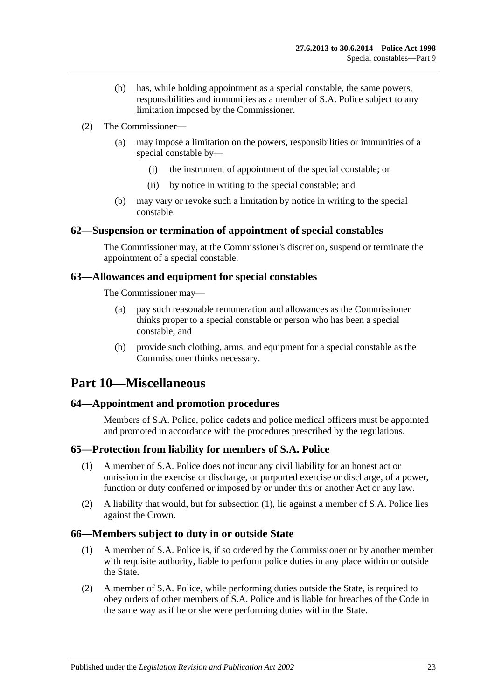- (b) has, while holding appointment as a special constable, the same powers, responsibilities and immunities as a member of S.A. Police subject to any limitation imposed by the Commissioner.
- (2) The Commissioner—
	- (a) may impose a limitation on the powers, responsibilities or immunities of a special constable by—
		- (i) the instrument of appointment of the special constable; or
		- (ii) by notice in writing to the special constable; and
	- (b) may vary or revoke such a limitation by notice in writing to the special constable.

# <span id="page-22-0"></span>**62—Suspension or termination of appointment of special constables**

The Commissioner may, at the Commissioner's discretion, suspend or terminate the appointment of a special constable.

#### <span id="page-22-1"></span>**63—Allowances and equipment for special constables**

The Commissioner may—

- (a) pay such reasonable remuneration and allowances as the Commissioner thinks proper to a special constable or person who has been a special constable; and
- (b) provide such clothing, arms, and equipment for a special constable as the Commissioner thinks necessary.

# <span id="page-22-2"></span>**Part 10—Miscellaneous**

# <span id="page-22-3"></span>**64—Appointment and promotion procedures**

Members of S.A. Police, police cadets and police medical officers must be appointed and promoted in accordance with the procedures prescribed by the regulations.

# <span id="page-22-6"></span><span id="page-22-4"></span>**65—Protection from liability for members of S.A. Police**

- (1) A member of S.A. Police does not incur any civil liability for an honest act or omission in the exercise or discharge, or purported exercise or discharge, of a power, function or duty conferred or imposed by or under this or another Act or any law.
- (2) A liability that would, but for [subsection](#page-22-6) (1), lie against a member of S.A. Police lies against the Crown.

# <span id="page-22-5"></span>**66—Members subject to duty in or outside State**

- (1) A member of S.A. Police is, if so ordered by the Commissioner or by another member with requisite authority, liable to perform police duties in any place within or outside the State.
- (2) A member of S.A. Police, while performing duties outside the State, is required to obey orders of other members of S.A. Police and is liable for breaches of the Code in the same way as if he or she were performing duties within the State.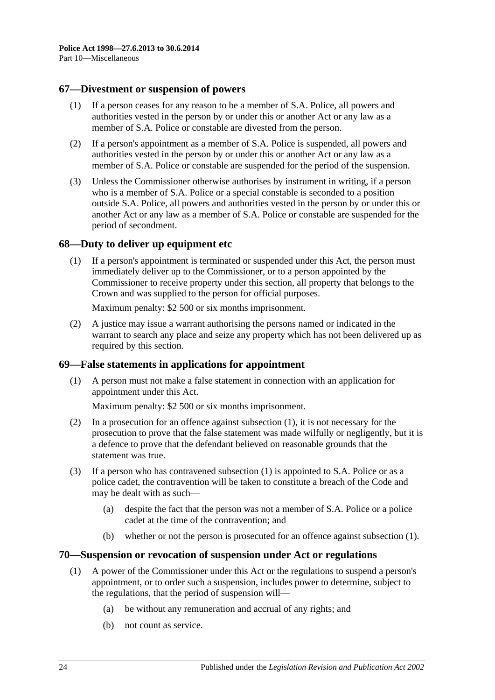#### <span id="page-23-0"></span>**67—Divestment or suspension of powers**

- (1) If a person ceases for any reason to be a member of S.A. Police, all powers and authorities vested in the person by or under this or another Act or any law as a member of S.A. Police or constable are divested from the person.
- (2) If a person's appointment as a member of S.A. Police is suspended, all powers and authorities vested in the person by or under this or another Act or any law as a member of S.A. Police or constable are suspended for the period of the suspension.
- (3) Unless the Commissioner otherwise authorises by instrument in writing, if a person who is a member of S.A. Police or a special constable is seconded to a position outside S.A. Police, all powers and authorities vested in the person by or under this or another Act or any law as a member of S.A. Police or constable are suspended for the period of secondment.

# <span id="page-23-1"></span>**68—Duty to deliver up equipment etc**

(1) If a person's appointment is terminated or suspended under this Act, the person must immediately deliver up to the Commissioner, or to a person appointed by the Commissioner to receive property under this section, all property that belongs to the Crown and was supplied to the person for official purposes.

Maximum penalty: \$2 500 or six months imprisonment.

(2) A justice may issue a warrant authorising the persons named or indicated in the warrant to search any place and seize any property which has not been delivered up as required by this section.

# <span id="page-23-4"></span><span id="page-23-2"></span>**69—False statements in applications for appointment**

(1) A person must not make a false statement in connection with an application for appointment under this Act.

Maximum penalty: \$2 500 or six months imprisonment.

- (2) In a prosecution for an offence against [subsection](#page-23-4) (1), it is not necessary for the prosecution to prove that the false statement was made wilfully or negligently, but it is a defence to prove that the defendant believed on reasonable grounds that the statement was true.
- (3) If a person who has contravened [subsection](#page-23-4) (1) is appointed to S.A. Police or as a police cadet, the contravention will be taken to constitute a breach of the Code and may be dealt with as such—
	- (a) despite the fact that the person was not a member of S.A. Police or a police cadet at the time of the contravention; and
	- (b) whether or not the person is prosecuted for an offence against [subsection](#page-23-4) (1).

#### <span id="page-23-5"></span><span id="page-23-3"></span>**70—Suspension or revocation of suspension under Act or regulations**

- (1) A power of the Commissioner under this Act or the regulations to suspend a person's appointment, or to order such a suspension, includes power to determine, subject to the regulations, that the period of suspension will—
	- (a) be without any remuneration and accrual of any rights; and
	- (b) not count as service.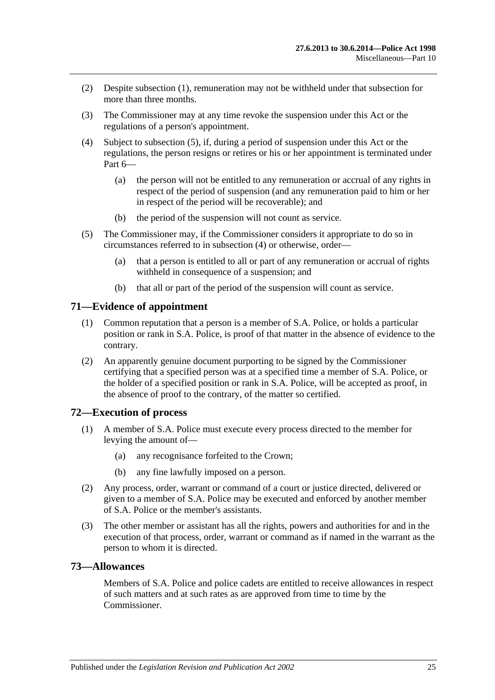- (2) Despite [subsection](#page-23-5) (1), remuneration may not be withheld under that subsection for more than three months.
- (3) The Commissioner may at any time revoke the suspension under this Act or the regulations of a person's appointment.
- <span id="page-24-4"></span>(4) Subject to [subsection](#page-24-3) (5), if, during a period of suspension under this Act or the regulations, the person resigns or retires or his or her appointment is terminated under [Part](#page-12-6) 6—
	- (a) the person will not be entitled to any remuneration or accrual of any rights in respect of the period of suspension (and any remuneration paid to him or her in respect of the period will be recoverable); and
	- (b) the period of the suspension will not count as service.
- <span id="page-24-3"></span>(5) The Commissioner may, if the Commissioner considers it appropriate to do so in circumstances referred to in [subsection](#page-24-4) (4) or otherwise, order—
	- (a) that a person is entitled to all or part of any remuneration or accrual of rights withheld in consequence of a suspension; and
	- (b) that all or part of the period of the suspension will count as service.

#### <span id="page-24-0"></span>**71—Evidence of appointment**

- (1) Common reputation that a person is a member of S.A. Police, or holds a particular position or rank in S.A. Police, is proof of that matter in the absence of evidence to the contrary.
- (2) An apparently genuine document purporting to be signed by the Commissioner certifying that a specified person was at a specified time a member of S.A. Police, or the holder of a specified position or rank in S.A. Police, will be accepted as proof, in the absence of proof to the contrary, of the matter so certified.

#### <span id="page-24-1"></span>**72—Execution of process**

- (1) A member of S.A. Police must execute every process directed to the member for levying the amount of—
	- (a) any recognisance forfeited to the Crown;
	- (b) any fine lawfully imposed on a person.
- (2) Any process, order, warrant or command of a court or justice directed, delivered or given to a member of S.A. Police may be executed and enforced by another member of S.A. Police or the member's assistants.
- (3) The other member or assistant has all the rights, powers and authorities for and in the execution of that process, order, warrant or command as if named in the warrant as the person to whom it is directed.

#### <span id="page-24-2"></span>**73—Allowances**

Members of S.A. Police and police cadets are entitled to receive allowances in respect of such matters and at such rates as are approved from time to time by the Commissioner.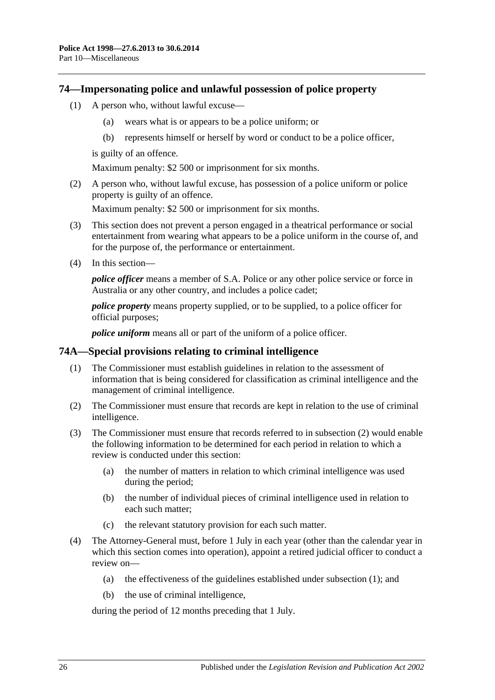#### <span id="page-25-0"></span>**74—Impersonating police and unlawful possession of police property**

- (1) A person who, without lawful excuse—
	- (a) wears what is or appears to be a police uniform; or
	- (b) represents himself or herself by word or conduct to be a police officer,

is guilty of an offence.

Maximum penalty: \$2 500 or imprisonment for six months.

(2) A person who, without lawful excuse, has possession of a police uniform or police property is guilty of an offence.

Maximum penalty: \$2 500 or imprisonment for six months.

- (3) This section does not prevent a person engaged in a theatrical performance or social entertainment from wearing what appears to be a police uniform in the course of, and for the purpose of, the performance or entertainment.
- (4) In this section—

*police officer* means a member of S.A. Police or any other police service or force in Australia or any other country, and includes a police cadet;

*police property* means property supplied, or to be supplied, to a police officer for official purposes;

*police uniform* means all or part of the uniform of a police officer.

#### <span id="page-25-3"></span><span id="page-25-1"></span>**74A—Special provisions relating to criminal intelligence**

- (1) The Commissioner must establish guidelines in relation to the assessment of information that is being considered for classification as criminal intelligence and the management of criminal intelligence.
- <span id="page-25-2"></span>(2) The Commissioner must ensure that records are kept in relation to the use of criminal intelligence.
- (3) The Commissioner must ensure that records referred to in [subsection](#page-25-2) (2) would enable the following information to be determined for each period in relation to which a review is conducted under this section:
	- (a) the number of matters in relation to which criminal intelligence was used during the period;
	- (b) the number of individual pieces of criminal intelligence used in relation to each such matter;
	- (c) the relevant statutory provision for each such matter.
- (4) The Attorney-General must, before 1 July in each year (other than the calendar year in which this section comes into operation), appoint a retired judicial officer to conduct a review on—
	- (a) the effectiveness of the guidelines established under [subsection](#page-25-3) (1); and
	- (b) the use of criminal intelligence,

during the period of 12 months preceding that 1 July.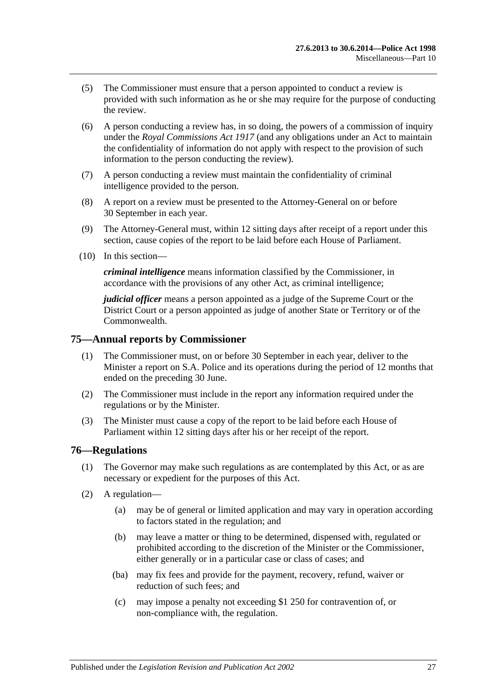- (5) The Commissioner must ensure that a person appointed to conduct a review is provided with such information as he or she may require for the purpose of conducting the review.
- (6) A person conducting a review has, in so doing, the powers of a commission of inquiry under the *[Royal Commissions Act](http://www.legislation.sa.gov.au/index.aspx?action=legref&type=act&legtitle=Royal%20Commissions%20Act%201917) 1917* (and any obligations under an Act to maintain the confidentiality of information do not apply with respect to the provision of such information to the person conducting the review).
- (7) A person conducting a review must maintain the confidentiality of criminal intelligence provided to the person.
- (8) A report on a review must be presented to the Attorney-General on or before 30 September in each year.
- (9) The Attorney-General must, within 12 sitting days after receipt of a report under this section, cause copies of the report to be laid before each House of Parliament.
- (10) In this section—

*criminal intelligence* means information classified by the Commissioner, in accordance with the provisions of any other Act, as criminal intelligence;

*judicial officer* means a person appointed as a judge of the Supreme Court or the District Court or a person appointed as judge of another State or Territory or of the Commonwealth.

#### <span id="page-26-0"></span>**75—Annual reports by Commissioner**

- (1) The Commissioner must, on or before 30 September in each year, deliver to the Minister a report on S.A. Police and its operations during the period of 12 months that ended on the preceding 30 June.
- (2) The Commissioner must include in the report any information required under the regulations or by the Minister.
- (3) The Minister must cause a copy of the report to be laid before each House of Parliament within 12 sitting days after his or her receipt of the report.

# <span id="page-26-1"></span>**76—Regulations**

- (1) The Governor may make such regulations as are contemplated by this Act, or as are necessary or expedient for the purposes of this Act.
- (2) A regulation—
	- (a) may be of general or limited application and may vary in operation according to factors stated in the regulation; and
	- (b) may leave a matter or thing to be determined, dispensed with, regulated or prohibited according to the discretion of the Minister or the Commissioner, either generally or in a particular case or class of cases; and
	- (ba) may fix fees and provide for the payment, recovery, refund, waiver or reduction of such fees; and
	- (c) may impose a penalty not exceeding \$1 250 for contravention of, or non-compliance with, the regulation.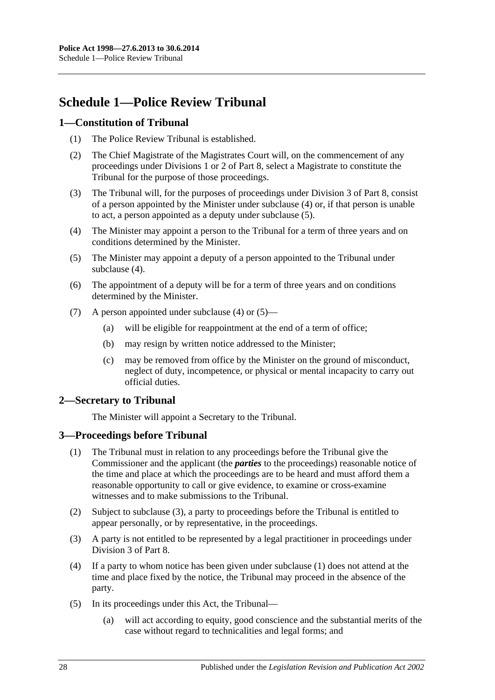# <span id="page-27-0"></span>**Schedule 1—Police Review Tribunal**

# <span id="page-27-1"></span>**1—Constitution of Tribunal**

- (1) The Police Review Tribunal is established.
- (2) The Chief Magistrate of the Magistrates Court will, on the commencement of any proceedings under [Divisions 1](#page-18-2) or [2](#page-19-3) of [Part 8,](#page-18-1) select a Magistrate to constitute the Tribunal for the purpose of those proceedings.
- (3) The Tribunal will, for the purposes of proceedings under [Division 3](#page-20-0) of [Part 8,](#page-18-1) consist of a person appointed by the Minister under [subclause](#page-27-4) (4) or, if that person is unable to act, a person appointed as a deputy under [subclause](#page-27-5) (5).
- <span id="page-27-4"></span>(4) The Minister may appoint a person to the Tribunal for a term of three years and on conditions determined by the Minister.
- <span id="page-27-5"></span>(5) The Minister may appoint a deputy of a person appointed to the Tribunal under [subclause](#page-27-4) (4).
- (6) The appointment of a deputy will be for a term of three years and on conditions determined by the Minister.
- (7) A person appointed under [subclause](#page-27-4) (4) or [\(5\)—](#page-27-5)
	- (a) will be eligible for reappointment at the end of a term of office;
	- (b) may resign by written notice addressed to the Minister;
	- (c) may be removed from office by the Minister on the ground of misconduct, neglect of duty, incompetence, or physical or mental incapacity to carry out official duties.

# <span id="page-27-2"></span>**2—Secretary to Tribunal**

The Minister will appoint a Secretary to the Tribunal.

# <span id="page-27-7"></span><span id="page-27-3"></span>**3—Proceedings before Tribunal**

- (1) The Tribunal must in relation to any proceedings before the Tribunal give the Commissioner and the applicant (the *parties* to the proceedings) reasonable notice of the time and place at which the proceedings are to be heard and must afford them a reasonable opportunity to call or give evidence, to examine or cross-examine witnesses and to make submissions to the Tribunal.
- (2) Subject to [subclause](#page-27-6) (3), a party to proceedings before the Tribunal is entitled to appear personally, or by representative, in the proceedings.
- <span id="page-27-6"></span>(3) A party is not entitled to be represented by a legal practitioner in proceedings under [Division 3](#page-20-0) of [Part 8.](#page-18-1)
- (4) If a party to whom notice has been given under [subclause](#page-27-7) (1) does not attend at the time and place fixed by the notice, the Tribunal may proceed in the absence of the party.
- (5) In its proceedings under this Act, the Tribunal—
	- (a) will act according to equity, good conscience and the substantial merits of the case without regard to technicalities and legal forms; and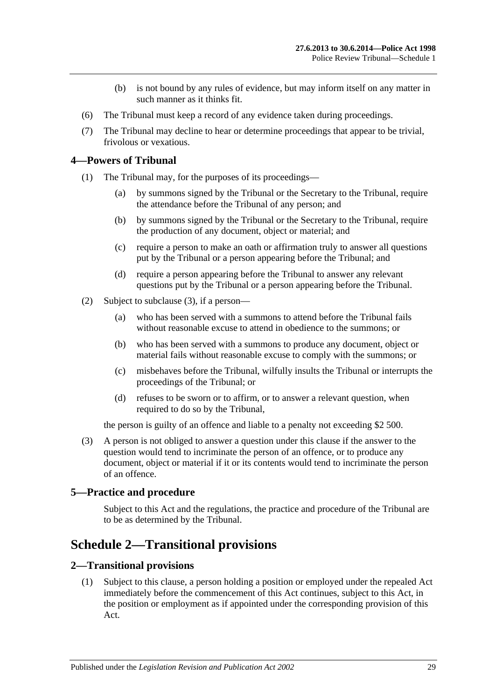- (b) is not bound by any rules of evidence, but may inform itself on any matter in such manner as it thinks fit.
- (6) The Tribunal must keep a record of any evidence taken during proceedings.
- (7) The Tribunal may decline to hear or determine proceedings that appear to be trivial, frivolous or vexatious.

#### <span id="page-28-0"></span>**4—Powers of Tribunal**

- (1) The Tribunal may, for the purposes of its proceedings—
	- (a) by summons signed by the Tribunal or the Secretary to the Tribunal, require the attendance before the Tribunal of any person; and
	- (b) by summons signed by the Tribunal or the Secretary to the Tribunal, require the production of any document, object or material; and
	- (c) require a person to make an oath or affirmation truly to answer all questions put by the Tribunal or a person appearing before the Tribunal; and
	- (d) require a person appearing before the Tribunal to answer any relevant questions put by the Tribunal or a person appearing before the Tribunal.
- (2) Subject to [subclause](#page-28-4) (3), if a person—
	- (a) who has been served with a summons to attend before the Tribunal fails without reasonable excuse to attend in obedience to the summons; or
	- (b) who has been served with a summons to produce any document, object or material fails without reasonable excuse to comply with the summons; or
	- (c) misbehaves before the Tribunal, wilfully insults the Tribunal or interrupts the proceedings of the Tribunal; or
	- (d) refuses to be sworn or to affirm, or to answer a relevant question, when required to do so by the Tribunal,

the person is guilty of an offence and liable to a penalty not exceeding \$2 500.

<span id="page-28-4"></span>(3) A person is not obliged to answer a question under this clause if the answer to the question would tend to incriminate the person of an offence, or to produce any document, object or material if it or its contents would tend to incriminate the person of an offence.

# <span id="page-28-1"></span>**5—Practice and procedure**

Subject to this Act and the regulations, the practice and procedure of the Tribunal are to be as determined by the Tribunal.

# <span id="page-28-2"></span>**Schedule 2—Transitional provisions**

#### <span id="page-28-5"></span><span id="page-28-3"></span>**2—Transitional provisions**

(1) Subject to this clause, a person holding a position or employed under the repealed Act immediately before the commencement of this Act continues, subject to this Act, in the position or employment as if appointed under the corresponding provision of this Act.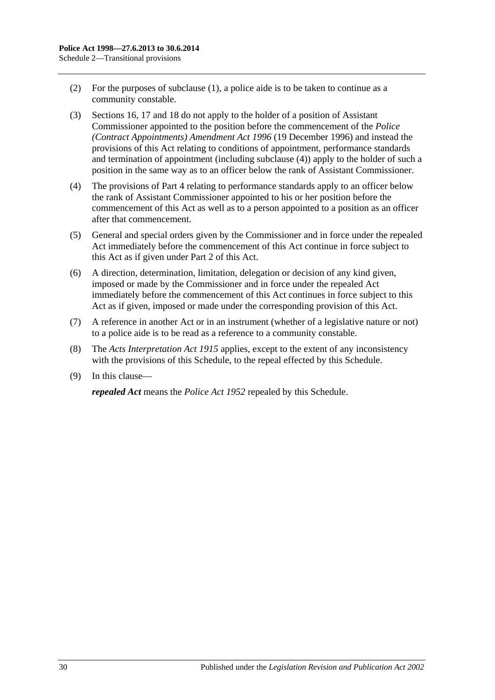- (2) For the purposes of [subclause](#page-28-5) (1), a police aide is to be taken to continue as a community constable.
- (3) [Sections](#page-7-0) 16, [17](#page-7-1) and [18](#page-8-0) do not apply to the holder of a position of Assistant Commissioner appointed to the position before the commencement of the *[Police](http://www.legislation.sa.gov.au/index.aspx?action=legref&type=act&legtitle=Police%20(Contract%20Appointments)%20Amendment%20Act%201996)  [\(Contract Appointments\) Amendment Act](http://www.legislation.sa.gov.au/index.aspx?action=legref&type=act&legtitle=Police%20(Contract%20Appointments)%20Amendment%20Act%201996) 1996* (19 December 1996) and instead the provisions of this Act relating to conditions of appointment, performance standards and termination of appointment (including [subclause](#page-29-0) (4)) apply to the holder of such a position in the same way as to an officer below the rank of Assistant Commissioner.
- <span id="page-29-0"></span>(4) The provisions of [Part 4](#page-9-0) relating to performance standards apply to an officer below the rank of Assistant Commissioner appointed to his or her position before the commencement of this Act as well as to a person appointed to a position as an officer after that commencement.
- (5) General and special orders given by the Commissioner and in force under the repealed Act immediately before the commencement of this Act continue in force subject to this Act as if given under [Part 2](#page-3-0) of this Act.
- (6) A direction, determination, limitation, delegation or decision of any kind given, imposed or made by the Commissioner and in force under the repealed Act immediately before the commencement of this Act continues in force subject to this Act as if given, imposed or made under the corresponding provision of this Act.
- (7) A reference in another Act or in an instrument (whether of a legislative nature or not) to a police aide is to be read as a reference to a community constable.
- (8) The *[Acts Interpretation Act](http://www.legislation.sa.gov.au/index.aspx?action=legref&type=act&legtitle=Acts%20Interpretation%20Act%201915) 1915* applies, except to the extent of any inconsistency with the provisions of this Schedule, to the repeal effected by this Schedule.
- (9) In this clause—

*repealed Act* means the *[Police Act](http://www.legislation.sa.gov.au/index.aspx?action=legref&type=act&legtitle=Police%20Act%201952) 1952* repealed by this Schedule.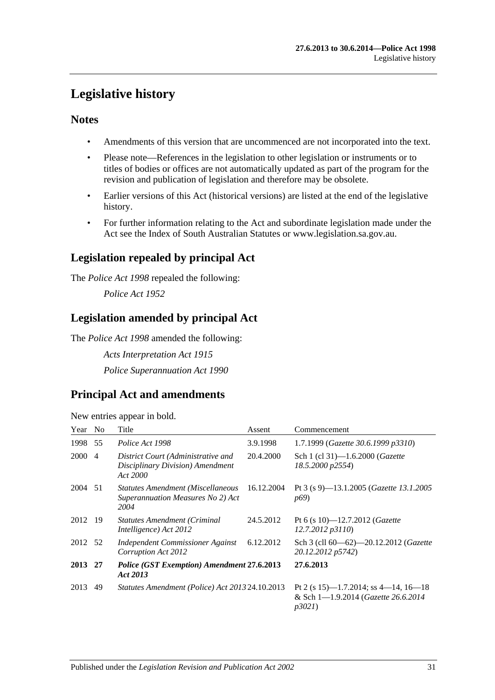# <span id="page-30-0"></span>**Legislative history**

# **Notes**

- Amendments of this version that are uncommenced are not incorporated into the text.
- Please note—References in the legislation to other legislation or instruments or to titles of bodies or offices are not automatically updated as part of the program for the revision and publication of legislation and therefore may be obsolete.
- Earlier versions of this Act (historical versions) are listed at the end of the legislative history.
- For further information relating to the Act and subordinate legislation made under the Act see the Index of South Australian Statutes or www.legislation.sa.gov.au.

# **Legislation repealed by principal Act**

The *Police Act 1998* repealed the following:

*Police Act 1952*

# **Legislation amended by principal Act**

The *Police Act 1998* amended the following:

*Acts Interpretation Act 1915 Police Superannuation Act 1990*

# **Principal Act and amendments**

New entries appear in bold.

| Year No |                | Title                                                                                 | Assent     | Commencement                                                                          |
|---------|----------------|---------------------------------------------------------------------------------------|------------|---------------------------------------------------------------------------------------|
| 1998 55 |                | Police Act 1998                                                                       | 3.9.1998   | 1.7.1999 (Gazette 30.6.1999 p3310)                                                    |
| 2000    | $\overline{4}$ | District Court (Administrative and<br>Disciplinary Division) Amendment<br>Act 2000    | 20.4.2000  | Sch 1 (cl 31)-1.6.2000 ( <i>Gazette</i><br>18.5.2000 p2554)                           |
| 2004 51 |                | <b>Statutes Amendment (Miscellaneous</b><br>Superannuation Measures No 2) Act<br>2004 | 16.12.2004 | Pt 3 (s 9)—13.1.2005 ( <i>Gazette 13.1.2005</i><br><i>p</i> <sup>69</sup> )           |
| 2012 19 |                | <b>Statutes Amendment (Criminal</b><br>Intelligence) Act 2012                         | 24.5.2012  | Pt 6 (s 10)-12.7.2012 (Gazette<br>12.7.2012 p3110)                                    |
| 2012 52 |                | Independent Commissioner Against<br>Corruption Act 2012                               | 6.12.2012  | Sch 3 (cll 60—62)—20.12.2012 ( <i>Gazette</i><br>20.12.2012 p5742)                    |
| 2013 27 |                | Police (GST Exemption) Amendment 27.6.2013<br>Act 2013                                |            | 27.6.2013                                                                             |
| 2013    | 49             | Statutes Amendment (Police) Act 2013 24.10.2013                                       |            | Pt 2 (s 15)—1.7.2014; ss 4—14, 16—18<br>& Sch 1-1.9.2014 (Gazette 26.6.2014)<br>p3021 |